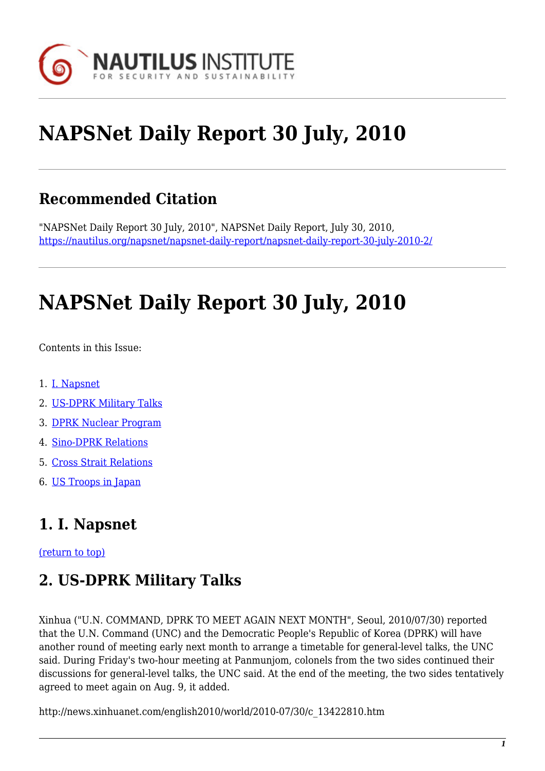

# **NAPSNet Daily Report 30 July, 2010**

### **Recommended Citation**

"NAPSNet Daily Report 30 July, 2010", NAPSNet Daily Report, July 30, 2010, <https://nautilus.org/napsnet/napsnet-daily-report/napsnet-daily-report-30-july-2010-2/>

## **NAPSNet Daily Report 30 July, 2010**

Contents in this Issue:

- <span id="page-0-2"></span>1. [I. Napsnet](#page-0-0)
- 2. [US-DPRK Military Talks](#page-0-1)
- 3. [DPRK Nuclear Program](#page-1-0)
- 4. [Sino-DPRK Relations](#page-1-1)
- 5. [Cross Strait Relations](#page-1-2)
- 6. [US Troops in Japan](#page-2-0)

### <span id="page-0-0"></span>**1. I. Napsnet**

<span id="page-0-1"></span>[\(return to top\)](#page-0-2)

### **2. US-DPRK Military Talks**

Xinhua ("U.N. COMMAND, DPRK TO MEET AGAIN NEXT MONTH", Seoul, 2010/07/30) reported that the U.N. Command (UNC) and the Democratic People's Republic of Korea (DPRK) will have another round of meeting early next month to arrange a timetable for general-level talks, the UNC said. During Friday's two-hour meeting at Panmunjom, colonels from the two sides continued their discussions for general-level talks, the UNC said. At the end of the meeting, the two sides tentatively agreed to meet again on Aug. 9, it added.

http://news.xinhuanet.com/english2010/world/2010-07/30/c\_13422810.htm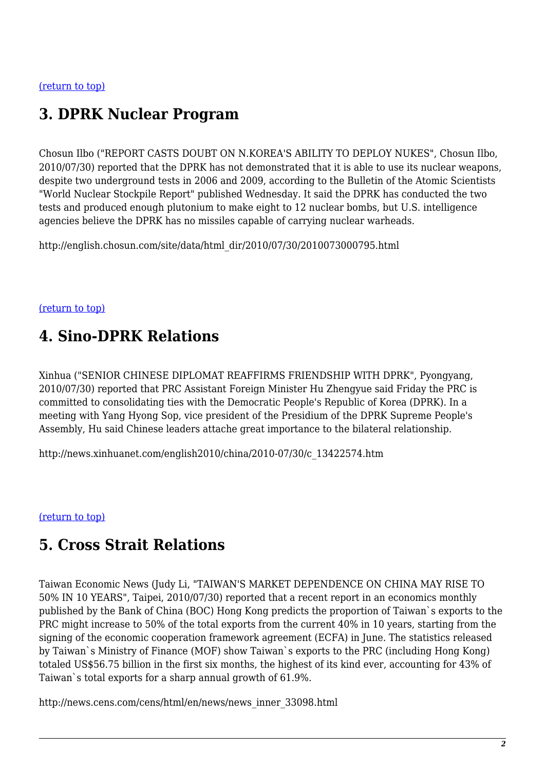### <span id="page-1-0"></span>**3. DPRK Nuclear Program**

Chosun Ilbo ("REPORT CASTS DOUBT ON N.KOREA'S ABILITY TO DEPLOY NUKES", Chosun Ilbo, 2010/07/30) reported that the DPRK has not demonstrated that it is able to use its nuclear weapons, despite two underground tests in 2006 and 2009, according to the Bulletin of the Atomic Scientists "World Nuclear Stockpile Report" published Wednesday. It said the DPRK has conducted the two tests and produced enough plutonium to make eight to 12 nuclear bombs, but U.S. intelligence agencies believe the DPRK has no missiles capable of carrying nuclear warheads.

http://english.chosun.com/site/data/html\_dir/2010/07/30/2010073000795.html

#### <span id="page-1-1"></span>[\(return to top\)](#page-0-2)

### **4. Sino-DPRK Relations**

Xinhua ("SENIOR CHINESE DIPLOMAT REAFFIRMS FRIENDSHIP WITH DPRK", Pyongyang, 2010/07/30) reported that PRC Assistant Foreign Minister Hu Zhengyue said Friday the PRC is committed to consolidating ties with the Democratic People's Republic of Korea (DPRK). In a meeting with Yang Hyong Sop, vice president of the Presidium of the DPRK Supreme People's Assembly, Hu said Chinese leaders attache great importance to the bilateral relationship.

http://news.xinhuanet.com/english2010/china/2010-07/30/c\_13422574.htm

#### <span id="page-1-2"></span>[\(return to top\)](#page-0-2)

### **5. Cross Strait Relations**

Taiwan Economic News (Judy Li, "TAIWAN'S MARKET DEPENDENCE ON CHINA MAY RISE TO 50% IN 10 YEARS", Taipei, 2010/07/30) reported that a recent report in an economics monthly published by the Bank of China (BOC) Hong Kong predicts the proportion of Taiwan`s exports to the PRC might increase to 50% of the total exports from the current 40% in 10 years, starting from the signing of the economic cooperation framework agreement (ECFA) in June. The statistics released by Taiwan`s Ministry of Finance (MOF) show Taiwan`s exports to the PRC (including Hong Kong) totaled US\$56.75 billion in the first six months, the highest of its kind ever, accounting for 43% of Taiwan`s total exports for a sharp annual growth of 61.9%.

http://news.cens.com/cens/html/en/news/news\_inner\_33098.html